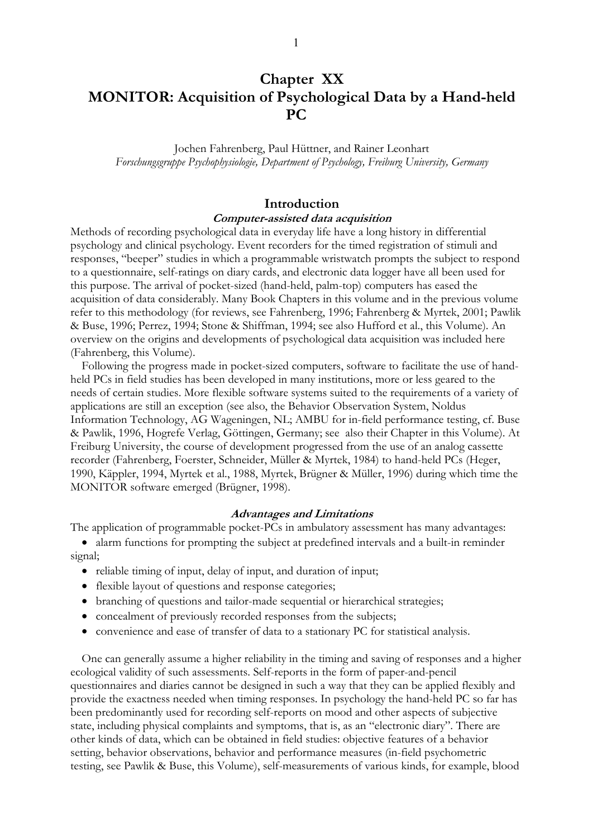# **Chapter XX MONITOR: Acquisition of Psychological Data by a Hand-held PC**

Jochen Fahrenberg, Paul Hüttner, and Rainer Leonhart *Forschungsgruppe Psychophysiologie, Department of Psychology, Freiburg University, Germany* 

# **Introduction Computer-assisted data acquisition**

Methods of recording psychological data in everyday life have a long history in differential psychology and clinical psychology. Event recorders for the timed registration of stimuli and responses, "beeper" studies in which a programmable wristwatch prompts the subject to respond to a questionnaire, self-ratings on diary cards, and electronic data logger have all been used for this purpose. The arrival of pocket-sized (hand-held, palm-top) computers has eased the acquisition of data considerably. Many Book Chapters in this volume and in the previous volume refer to this methodology (for reviews, see Fahrenberg, 1996; Fahrenberg & Myrtek, 2001; Pawlik & Buse, 1996; Perrez, 1994; Stone & Shiffman, 1994; see also Hufford et al., this Volume). An overview on the origins and developments of psychological data acquisition was included here (Fahrenberg, this Volume).

Following the progress made in pocket-sized computers, software to facilitate the use of handheld PCs in field studies has been developed in many institutions, more or less geared to the needs of certain studies. More flexible software systems suited to the requirements of a variety of applications are still an exception (see also, the Behavior Observation System, Noldus Information Technology, AG Wageningen, NL; AMBU for in-field performance testing, cf. Buse & Pawlik, 1996, Hogrefe Verlag, Göttingen, Germany; see also their Chapter in this Volume). At Freiburg University, the course of development progressed from the use of an analog cassette recorder (Fahrenberg, Foerster, Schneider, Müller & Myrtek, 1984) to hand-held PCs (Heger, 1990, Käppler, 1994, Myrtek et al., 1988, Myrtek, Brügner & Müller, 1996) during which time the MONITOR software emerged (Brügner, 1998).

## **Advantages and Limitations**

The application of programmable pocket-PCs in ambulatory assessment has many advantages:

- alarm functions for prompting the subject at predefined intervals and a built-in reminder signal;
	- reliable timing of input, delay of input, and duration of input;
	- flexible layout of questions and response categories;
	- branching of questions and tailor-made sequential or hierarchical strategies;
	- concealment of previously recorded responses from the subjects;
	- convenience and ease of transfer of data to a stationary PC for statistical analysis.

One can generally assume a higher reliability in the timing and saving of responses and a higher ecological validity of such assessments. Self-reports in the form of paper-and-pencil questionnaires and diaries cannot be designed in such a way that they can be applied flexibly and provide the exactness needed when timing responses. In psychology the hand-held PC so far has been predominantly used for recording self-reports on mood and other aspects of subjective state, including physical complaints and symptoms, that is, as an "electronic diary". There are other kinds of data, which can be obtained in field studies: objective features of a behavior setting, behavior observations, behavior and performance measures (in-field psychometric testing, see Pawlik & Buse, this Volume), self-measurements of various kinds, for example, blood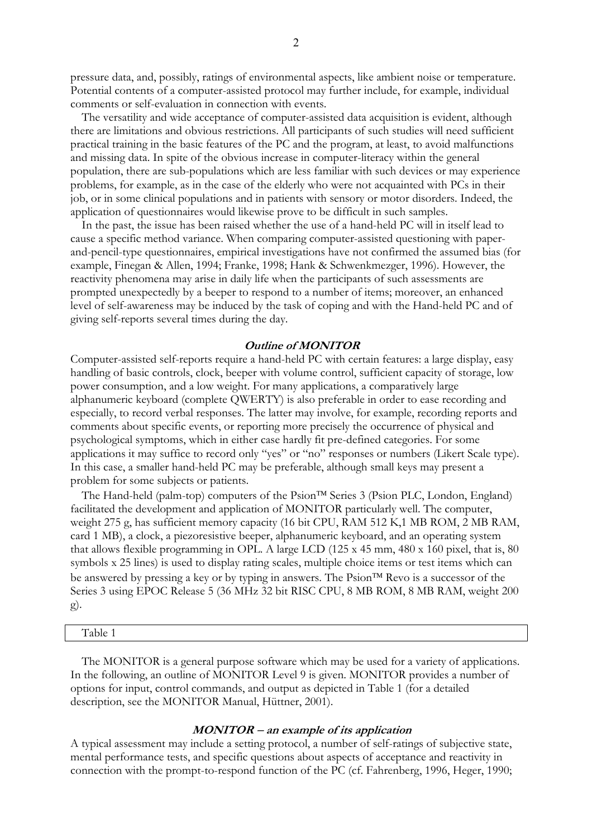pressure data, and, possibly, ratings of environmental aspects, like ambient noise or temperature. Potential contents of a computer-assisted protocol may further include, for example, individual comments or self-evaluation in connection with events.

The versatility and wide acceptance of computer-assisted data acquisition is evident, although there are limitations and obvious restrictions. All participants of such studies will need sufficient practical training in the basic features of the PC and the program, at least, to avoid malfunctions and missing data. In spite of the obvious increase in computer-literacy within the general population, there are sub-populations which are less familiar with such devices or may experience problems, for example, as in the case of the elderly who were not acquainted with PCs in their job, or in some clinical populations and in patients with sensory or motor disorders. Indeed, the application of questionnaires would likewise prove to be difficult in such samples.

In the past, the issue has been raised whether the use of a hand-held PC will in itself lead to cause a specific method variance. When comparing computer-assisted questioning with paperand-pencil-type questionnaires, empirical investigations have not confirmed the assumed bias (for example, Finegan & Allen, 1994; Franke, 1998; Hank & Schwenkmezger, 1996). However, the reactivity phenomena may arise in daily life when the participants of such assessments are prompted unexpectedly by a beeper to respond to a number of items; moreover, an enhanced level of self-awareness may be induced by the task of coping and with the Hand-held PC and of giving self-reports several times during the day.

## **Outline of MONITOR**

Computer-assisted self-reports require a hand-held PC with certain features: a large display, easy handling of basic controls, clock, beeper with volume control, sufficient capacity of storage, low power consumption, and a low weight. For many applications, a comparatively large alphanumeric keyboard (complete QWERTY) is also preferable in order to ease recording and especially, to record verbal responses. The latter may involve, for example, recording reports and comments about specific events, or reporting more precisely the occurrence of physical and psychological symptoms, which in either case hardly fit pre-defined categories. For some applications it may suffice to record only "yes" or "no" responses or numbers (Likert Scale type). In this case, a smaller hand-held PC may be preferable, although small keys may present a problem for some subjects or patients.

The Hand-held (palm-top) computers of the  $Psion<sup>TM</sup> Series 3$  ( $Psion PLC$ , London, England) facilitated the development and application of MONITOR particularly well. The computer, weight 275 g, has sufficient memory capacity (16 bit CPU, RAM 512 K,1 MB ROM, 2 MB RAM, card 1 MB), a clock, a piezoresistive beeper, alphanumeric keyboard, and an operating system that allows flexible programming in OPL. A large LCD (125 x 45 mm, 480 x 160 pixel, that is, 80 symbols x 25 lines) is used to display rating scales, multiple choice items or test items which can be answered by pressing a key or by typing in answers. The  $Psion^{TM}$  Revo is a successor of the Series 3 using EPOC Release 5 (36 MHz 32 bit RISC CPU, 8 MB ROM, 8 MB RAM, weight 200 g).

#### Table 1

The MONITOR is a general purpose software which may be used for a variety of applications. In the following, an outline of MONITOR Level 9 is given. MONITOR provides a number of options for input, control commands, and output as depicted in Table 1 (for a detailed description, see the MONITOR Manual, Hüttner, 2001).

## **MONITOR** − **an example of its application**

A typical assessment may include a setting protocol, a number of self-ratings of subjective state, mental performance tests, and specific questions about aspects of acceptance and reactivity in connection with the prompt-to-respond function of the PC (cf. Fahrenberg, 1996, Heger, 1990;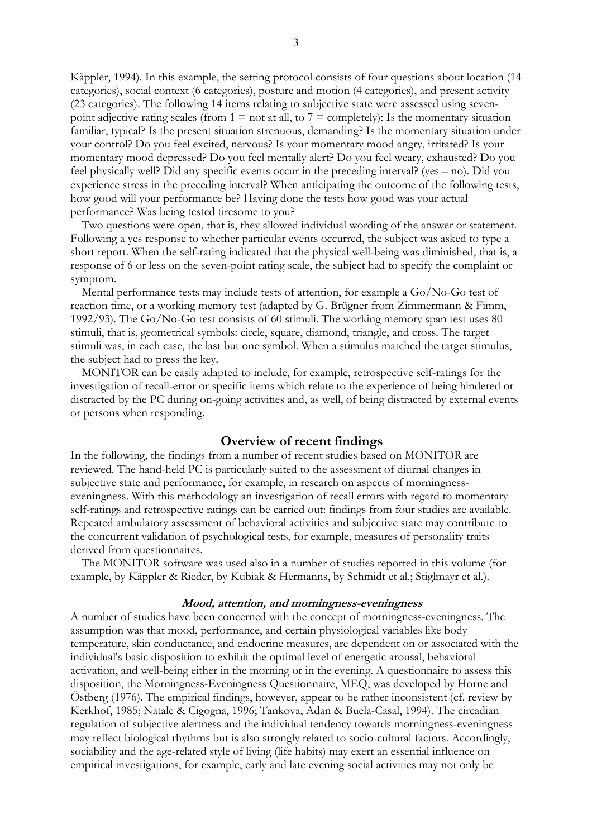Käppler, 1994). In this example, the setting protocol consists of four questions about location (14 categories), social context (6 categories), posture and motion (4 categories), and present activity (23 categories). The following 14 items relating to subjective state were assessed using sevenpoint adjective rating scales (from  $1 = not$  at all, to  $7 =$  completely): Is the momentary situation familiar, typical? Is the present situation strenuous, demanding? Is the momentary situation under your control? Do you feel excited, nervous? Is your momentary mood angry, irritated? Is your momentary mood depressed? Do you feel mentally alert? Do you feel weary, exhausted? Do you feel physically well? Did any specific events occur in the preceding interval? (yes – no). Did you experience stress in the preceding interval? When anticipating the outcome of the following tests, how good will your performance be? Having done the tests how good was your actual performance? Was being tested tiresome to you?

Two questions were open, that is, they allowed individual wording of the answer or statement. Following a yes response to whether particular events occurred, the subject was asked to type a short report. When the self-rating indicated that the physical well-being was diminished, that is, a response of 6 or less on the seven-point rating scale, the subject had to specify the complaint or symptom.

Mental performance tests may include tests of attention, for example a Go/No-Go test of reaction time, or a working memory test (adapted by G. Brügner from Zimmermann & Fimm, 1992/93). The Go/No-Go test consists of 60 stimuli. The working memory span test uses 80 stimuli, that is, geometrical symbols: circle, square, diamond, triangle, and cross. The target stimuli was, in each case, the last but one symbol. When a stimulus matched the target stimulus, the subject had to press the key.

MONITOR can be easily adapted to include, for example, retrospective self-ratings for the investigation of recall-error or specific items which relate to the experience of being hindered or distracted by the PC during on-going activities and, as well, of being distracted by external events or persons when responding.

## **Overview of recent findings**

In the following, the findings from a number of recent studies based on MONITOR are reviewed. The hand-held PC is particularly suited to the assessment of diurnal changes in subjective state and performance, for example, in research on aspects of morningnesseveningness. With this methodology an investigation of recall errors with regard to momentary self-ratings and retrospective ratings can be carried out: findings from four studies are available. Repeated ambulatory assessment of behavioral activities and subjective state may contribute to the concurrent validation of psychological tests, for example, measures of personality traits derived from questionnaires.

The MONITOR software was used also in a number of studies reported in this volume (for example, by Käppler & Rieder, by Kubiak & Hermanns, by Schmidt et al.; Stiglmayr et al.).

### **Mood, attention, and morningness-eveningness**

A number of studies have been concerned with the concept of morningness-eveningness. The assumption was that mood, performance, and certain physiological variables like body temperature, skin conductance, and endocrine measures, are dependent on or associated with the individual's basic disposition to exhibit the optimal level of energetic arousal, behavioral activation, and well-being either in the morning or in the evening. A questionnaire to assess this disposition, the Morningness-Eveningness Questionnaire, MEQ, was developed by Horne and Östberg (1976). The empirical findings, however, appear to be rather inconsistent (cf. review by Kerkhof, 1985; Natale & Cigogna, 1996; Tankova, Adan & Buela-Casal, 1994). The circadian regulation of subjective alertness and the individual tendency towards morningness-eveningness may reflect biological rhythms but is also strongly related to socio-cultural factors. Accordingly, sociability and the age-related style of living (life habits) may exert an essential influence on empirical investigations, for example, early and late evening social activities may not only be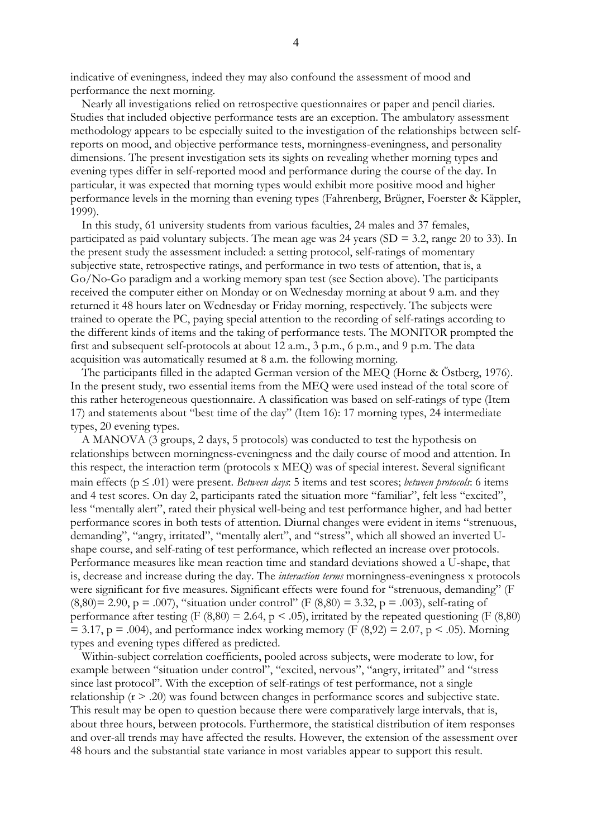indicative of eveningness, indeed they may also confound the assessment of mood and performance the next morning.

Nearly all investigations relied on retrospective questionnaires or paper and pencil diaries. Studies that included objective performance tests are an exception. The ambulatory assessment methodology appears to be especially suited to the investigation of the relationships between selfreports on mood, and objective performance tests, morningness-eveningness, and personality dimensions. The present investigation sets its sights on revealing whether morning types and evening types differ in self-reported mood and performance during the course of the day. In particular, it was expected that morning types would exhibit more positive mood and higher performance levels in the morning than evening types (Fahrenberg, Brügner, Foerster & Käppler, 1999).

In this study, 61 university students from various faculties, 24 males and 37 females, participated as paid voluntary subjects. The mean age was 24 years ( $SD = 3.2$ , range 20 to 33). In the present study the assessment included: a setting protocol, self-ratings of momentary subjective state, retrospective ratings, and performance in two tests of attention, that is, a Go/No-Go paradigm and a working memory span test (see Section above). The participants received the computer either on Monday or on Wednesday morning at about 9 a.m. and they returned it 48 hours later on Wednesday or Friday morning, respectively. The subjects were trained to operate the PC, paying special attention to the recording of self-ratings according to the different kinds of items and the taking of performance tests. The MONITOR prompted the first and subsequent self-protocols at about 12 a.m., 3 p.m., 6 p.m., and 9 p.m. The data acquisition was automatically resumed at 8 a.m. the following morning.

The participants filled in the adapted German version of the MEQ (Horne & Östberg, 1976). In the present study, two essential items from the MEQ were used instead of the total score of this rather heterogeneous questionnaire. A classification was based on self-ratings of type (Item 17) and statements about "best time of the day" (Item 16): 17 morning types, 24 intermediate types, 20 evening types.

A MANOVA (3 groups, 2 days, 5 protocols) was conducted to test the hypothesis on relationships between morningness-eveningness and the daily course of mood and attention. In this respect, the interaction term (protocols x MEQ) was of special interest. Several significant main effects (p ≤ .01) were present. *Between days*: 5 items and test scores; *between protocols*: 6 items and 4 test scores. On day 2, participants rated the situation more "familiar", felt less "excited", less "mentally alert", rated their physical well-being and test performance higher, and had better performance scores in both tests of attention. Diurnal changes were evident in items "strenuous, demanding", "angry, irritated", "mentally alert", and "stress", which all showed an inverted Ushape course, and self-rating of test performance, which reflected an increase over protocols. Performance measures like mean reaction time and standard deviations showed a U-shape, that is, decrease and increase during the day. The *interaction terms* morningness-eveningness x protocols were significant for five measures. Significant effects were found for "strenuous, demanding" (F  $(8,80) = 2.90$ , p = .007), "situation under control" (F  $(8,80) = 3.32$ , p = .003), self-rating of performance after testing (F  $(8,80) = 2.64$ , p < .05), irritated by the repeated questioning (F  $(8,80)$ )  $= 3.17$ , p = .004), and performance index working memory (F (8,92) = 2.07, p < .05). Morning types and evening types differed as predicted.

Within-subject correlation coefficients, pooled across subjects, were moderate to low, for example between "situation under control", "excited, nervous", "angry, irritated" and "stress since last protocol". With the exception of self-ratings of test performance, not a single relationship (r > .20) was found between changes in performance scores and subjective state. This result may be open to question because there were comparatively large intervals, that is, about three hours, between protocols. Furthermore, the statistical distribution of item responses and over-all trends may have affected the results. However, the extension of the assessment over 48 hours and the substantial state variance in most variables appear to support this result.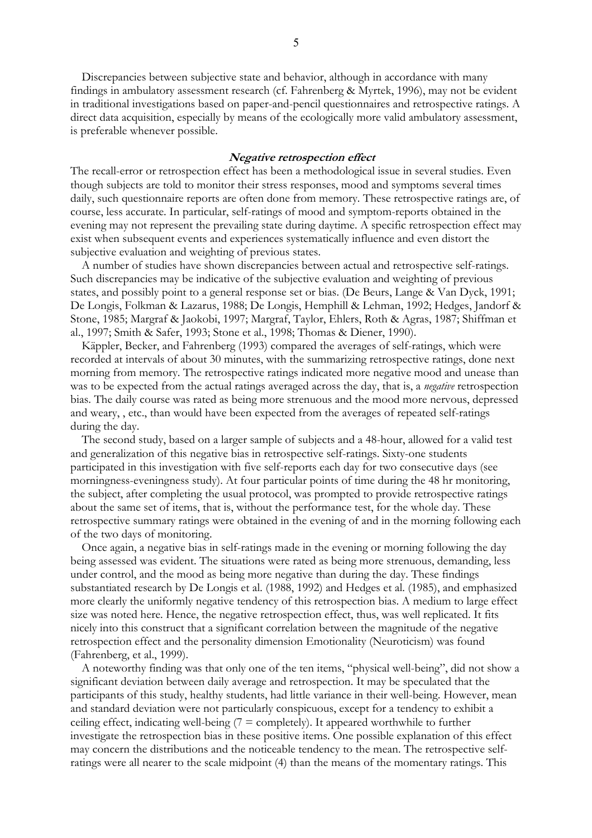Discrepancies between subjective state and behavior, although in accordance with many findings in ambulatory assessment research (cf. Fahrenberg & Myrtek, 1996), may not be evident in traditional investigations based on paper-and-pencil questionnaires and retrospective ratings. A direct data acquisition, especially by means of the ecologically more valid ambulatory assessment, is preferable whenever possible.

## **Negative retrospection effect**

The recall-error or retrospection effect has been a methodological issue in several studies. Even though subjects are told to monitor their stress responses, mood and symptoms several times daily, such questionnaire reports are often done from memory. These retrospective ratings are, of course, less accurate. In particular, self-ratings of mood and symptom-reports obtained in the evening may not represent the prevailing state during daytime. A specific retrospection effect may exist when subsequent events and experiences systematically influence and even distort the subjective evaluation and weighting of previous states.

A number of studies have shown discrepancies between actual and retrospective self-ratings. Such discrepancies may be indicative of the subjective evaluation and weighting of previous states, and possibly point to a general response set or bias. (De Beurs, Lange & Van Dyck, 1991; De Longis, Folkman & Lazarus, 1988; De Longis, Hemphill & Lehman, 1992; Hedges, Jandorf & Stone, 1985; Margraf & Jaokobi, 1997; Margraf, Taylor, Ehlers, Roth & Agras, 1987; Shiffman et al., 1997; Smith & Safer, 1993; Stone et al., 1998; Thomas & Diener, 1990).

Käppler, Becker, and Fahrenberg (1993) compared the averages of self-ratings, which were recorded at intervals of about 30 minutes, with the summarizing retrospective ratings, done next morning from memory. The retrospective ratings indicated more negative mood and unease than was to be expected from the actual ratings averaged across the day, that is, a *negative* retrospection bias. The daily course was rated as being more strenuous and the mood more nervous, depressed and weary, , etc., than would have been expected from the averages of repeated self-ratings during the day.

The second study, based on a larger sample of subjects and a 48-hour, allowed for a valid test and generalization of this negative bias in retrospective self-ratings. Sixty-one students participated in this investigation with five self-reports each day for two consecutive days (see morningness-eveningness study). At four particular points of time during the 48 hr monitoring, the subject, after completing the usual protocol, was prompted to provide retrospective ratings about the same set of items, that is, without the performance test, for the whole day. These retrospective summary ratings were obtained in the evening of and in the morning following each of the two days of monitoring.

Once again, a negative bias in self-ratings made in the evening or morning following the day being assessed was evident. The situations were rated as being more strenuous, demanding, less under control, and the mood as being more negative than during the day. These findings substantiated research by De Longis et al. (1988, 1992) and Hedges et al. (1985), and emphasized more clearly the uniformly negative tendency of this retrospection bias. A medium to large effect size was noted here. Hence, the negative retrospection effect, thus, was well replicated. It fits nicely into this construct that a significant correlation between the magnitude of the negative retrospection effect and the personality dimension Emotionality (Neuroticism) was found (Fahrenberg, et al., 1999).

A noteworthy finding was that only one of the ten items, "physical well-being", did not show a significant deviation between daily average and retrospection. It may be speculated that the participants of this study, healthy students, had little variance in their well-being. However, mean and standard deviation were not particularly conspicuous, except for a tendency to exhibit a ceiling effect, indicating well-being  $(7 = \text{completely})$ . It appeared worthwhile to further investigate the retrospection bias in these positive items. One possible explanation of this effect may concern the distributions and the noticeable tendency to the mean. The retrospective selfratings were all nearer to the scale midpoint (4) than the means of the momentary ratings. This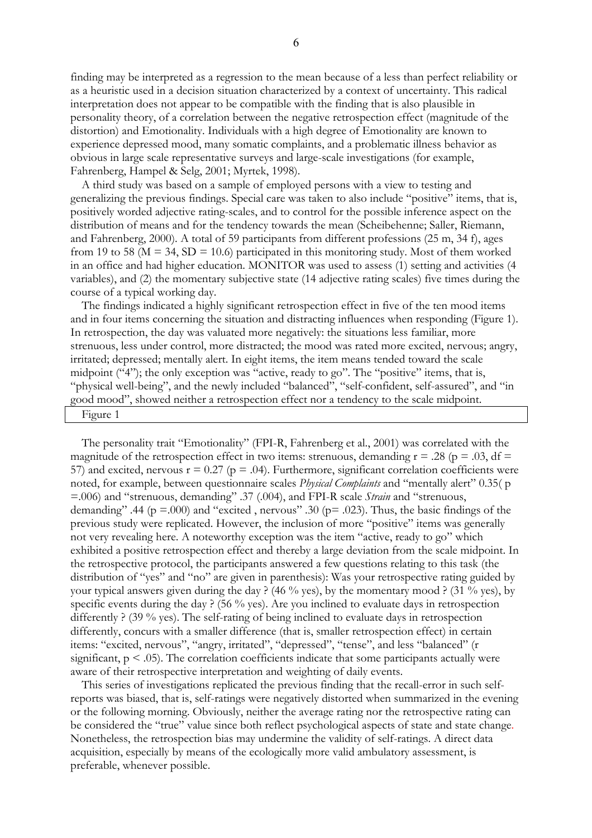finding may be interpreted as a regression to the mean because of a less than perfect reliability or as a heuristic used in a decision situation characterized by a context of uncertainty. This radical interpretation does not appear to be compatible with the finding that is also plausible in personality theory, of a correlation between the negative retrospection effect (magnitude of the distortion) and Emotionality. Individuals with a high degree of Emotionality are known to experience depressed mood, many somatic complaints, and a problematic illness behavior as obvious in large scale representative surveys and large-scale investigations (for example, Fahrenberg, Hampel & Selg, 2001; Myrtek, 1998).

A third study was based on a sample of employed persons with a view to testing and generalizing the previous findings. Special care was taken to also include "positive" items, that is, positively worded adjective rating-scales, and to control for the possible inference aspect on the distribution of means and for the tendency towards the mean (Scheibehenne; Saller, Riemann, and Fahrenberg, 2000). A total of 59 participants from different professions (25 m, 34 f), ages from 19 to 58 ( $M = 34$ ,  $SD = 10.6$ ) participated in this monitoring study. Most of them worked in an office and had higher education. MONITOR was used to assess (1) setting and activities (4 variables), and (2) the momentary subjective state (14 adjective rating scales) five times during the course of a typical working day.

The findings indicated a highly significant retrospection effect in five of the ten mood items and in four items concerning the situation and distracting influences when responding (Figure 1). In retrospection, the day was valuated more negatively: the situations less familiar, more strenuous, less under control, more distracted; the mood was rated more excited, nervous; angry, irritated; depressed; mentally alert. In eight items, the item means tended toward the scale midpoint ("4"); the only exception was "active, ready to go". The "positive" items, that is, "physical well-being", and the newly included "balanced", "self-confident, self-assured", and "in good mood", showed neither a retrospection effect nor a tendency to the scale midpoint.

Figure 1

The personality trait "Emotionality" (FPI-R, Fahrenberg et al., 2001) was correlated with the magnitude of the retrospection effect in two items: strenuous, demanding  $r = .28$  ( $p = .03$ , df = 57) and excited, nervous  $r = 0.27$  ( $p = .04$ ). Furthermore, significant correlation coefficients were noted, for example, between questionnaire scales *Physical Complaints* and "mentally alert" 0.35( p =.006) and "strenuous, demanding" .37 (.004), and FPI-R scale *Strain* and "strenuous, demanding" .44 ( $p = .000$ ) and "excited, nervous" .30 ( $p = .023$ ). Thus, the basic findings of the previous study were replicated. However, the inclusion of more "positive" items was generally not very revealing here. A noteworthy exception was the item "active, ready to go" which exhibited a positive retrospection effect and thereby a large deviation from the scale midpoint. In the retrospective protocol, the participants answered a few questions relating to this task (the distribution of "yes" and "no" are given in parenthesis): Was your retrospective rating guided by your typical answers given during the day ? (46 % yes), by the momentary mood ? (31 % yes), by specific events during the day ? (56 % yes). Are you inclined to evaluate days in retrospection differently ? (39 % yes). The self-rating of being inclined to evaluate days in retrospection differently, concurs with a smaller difference (that is, smaller retrospection effect) in certain items: "excited, nervous", "angry, irritated", "depressed", "tense", and less "balanced" (r significant,  $p < .05$ ). The correlation coefficients indicate that some participants actually were aware of their retrospective interpretation and weighting of daily events.

This series of investigations replicated the previous finding that the recall-error in such selfreports was biased, that is, self-ratings were negatively distorted when summarized in the evening or the following morning. Obviously, neither the average rating nor the retrospective rating can be considered the "true" value since both reflect psychological aspects of state and state change. Nonetheless, the retrospection bias may undermine the validity of self-ratings. A direct data acquisition, especially by means of the ecologically more valid ambulatory assessment, is preferable, whenever possible.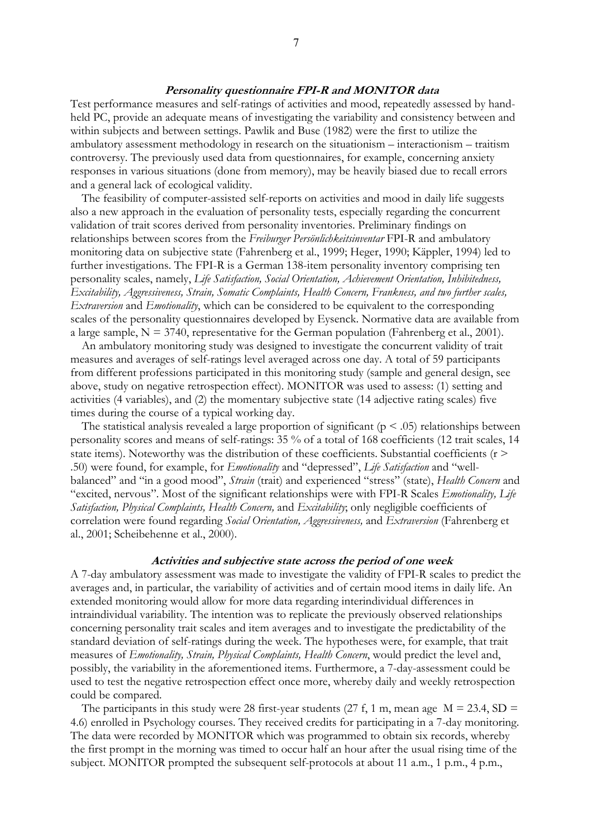## **Personality questionnaire FPI-R and MONITOR data**

Test performance measures and self-ratings of activities and mood, repeatedly assessed by handheld PC, provide an adequate means of investigating the variability and consistency between and within subjects and between settings. Pawlik and Buse (1982) were the first to utilize the ambulatory assessment methodology in research on the situationism – interactionism – traitism controversy. The previously used data from questionnaires, for example, concerning anxiety responses in various situations (done from memory), may be heavily biased due to recall errors and a general lack of ecological validity.

The feasibility of computer-assisted self-reports on activities and mood in daily life suggests also a new approach in the evaluation of personality tests, especially regarding the concurrent validation of trait scores derived from personality inventories. Preliminary findings on relationships between scores from the *Freiburger Persönlichkeitsinventar* FPI-R and ambulatory monitoring data on subjective state (Fahrenberg et al., 1999; Heger, 1990; Käppler, 1994) led to further investigations. The FPI-R is a German 138-item personality inventory comprising ten personality scales, namely, *Life Satisfaction, Social Orientation, Achievement Orientation, Inhibitedness, Excitability, Aggressiveness, Strain, Somatic Complaints, Health Concern, Frankness, and two further scales, Extraversion* and *Emotionality*, which can be considered to be equivalent to the corresponding scales of the personality questionnaires developed by Eysenck. Normative data are available from a large sample,  $N = 3740$ , representative for the German population (Fahrenberg et al., 2001).

An ambulatory monitoring study was designed to investigate the concurrent validity of trait measures and averages of self-ratings level averaged across one day. A total of 59 participants from different professions participated in this monitoring study (sample and general design, see above, study on negative retrospection effect). MONITOR was used to assess: (1) setting and activities (4 variables), and (2) the momentary subjective state (14 adjective rating scales) five times during the course of a typical working day.

The statistical analysis revealed a large proportion of significant ( $p < .05$ ) relationships between personality scores and means of self-ratings: 35 % of a total of 168 coefficients (12 trait scales, 14 state items). Noteworthy was the distribution of these coefficients. Substantial coefficients (r > .50) were found, for example, for *Emotionality* and "depressed", *Life Satisfaction* and "wellbalanced" and "in a good mood", *Strain* (trait) and experienced "stress" (state), *Health Concern* and "excited, nervous". Most of the significant relationships were with FPI-R Scales *Emotionality, Life Satisfaction, Physical Complaints, Health Concern,* and *Excitability*; only negligible coefficients of correlation were found regarding *Social Orientation, Aggressiveness,* and *Extraversion* (Fahrenberg et al., 2001; Scheibehenne et al., 2000).

## **Activities and subjective state across the period of one week**

A 7-day ambulatory assessment was made to investigate the validity of FPI-R scales to predict the averages and, in particular, the variability of activities and of certain mood items in daily life. An extended monitoring would allow for more data regarding interindividual differences in intraindividual variability. The intention was to replicate the previously observed relationships concerning personality trait scales and item averages and to investigate the predictability of the standard deviation of self-ratings during the week. The hypotheses were, for example, that trait measures of *Emotionality, Strain, Physical Complaints, Health Concern*, would predict the level and, possibly, the variability in the aforementioned items. Furthermore, a 7-day-assessment could be used to test the negative retrospection effect once more, whereby daily and weekly retrospection could be compared.

The participants in this study were 28 first-year students (27 f, 1 m, mean age  $M = 23.4$ , SD = 4.6) enrolled in Psychology courses. They received credits for participating in a 7-day monitoring. The data were recorded by MONITOR which was programmed to obtain six records, whereby the first prompt in the morning was timed to occur half an hour after the usual rising time of the subject. MONITOR prompted the subsequent self-protocols at about 11 a.m., 1 p.m., 4 p.m.,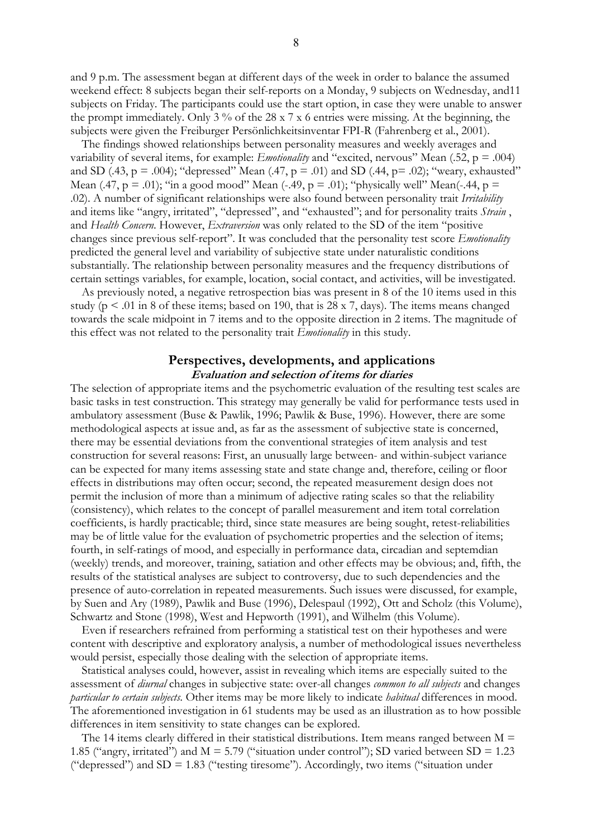and 9 p.m. The assessment began at different days of the week in order to balance the assumed weekend effect: 8 subjects began their self-reports on a Monday, 9 subjects on Wednesday, and11 subjects on Friday. The participants could use the start option, in case they were unable to answer the prompt immediately. Only 3 % of the 28 x 7 x 6 entries were missing. At the beginning, the subjects were given the Freiburger Persönlichkeitsinventar FPI-R (Fahrenberg et al., 2001).

The findings showed relationships between personality measures and weekly averages and variability of several items, for example: *Emotionality* and "excited, nervous" Mean (.52, p = .004) and SD (.43,  $p = .004$ ); "depressed" Mean (.47,  $p = .01$ ) and SD (.44,  $p = .02$ ); "weary, exhausted" Mean (.47,  $p = .01$ ); "in a good mood" Mean (-.49,  $p = .01$ ); "physically well" Mean(-.44,  $p =$ .02). A number of significant relationships were also found between personality trait *Irritability* and items like "angry, irritated", "depressed", and "exhausted"; and for personality traits *Strain* , and *Health Concern*. However, *Extraversion* was only related to the SD of the item "positive changes since previous self-report". It was concluded that the personality test score *Emotionality* predicted the general level and variability of subjective state under naturalistic conditions substantially. The relationship between personality measures and the frequency distributions of certain settings variables, for example, location, social contact, and activities, will be investigated.

As previously noted, a negative retrospection bias was present in 8 of the 10 items used in this study ( $p < .01$  in 8 of these items; based on 190, that is 28 x 7, days). The items means changed towards the scale midpoint in 7 items and to the opposite direction in 2 items. The magnitude of this effect was not related to the personality trait *Emotionality* in this study.

## **Perspectives, developments, and applications Evaluation and selection of items for diaries**

The selection of appropriate items and the psychometric evaluation of the resulting test scales are basic tasks in test construction. This strategy may generally be valid for performance tests used in ambulatory assessment (Buse & Pawlik, 1996; Pawlik & Buse, 1996). However, there are some methodological aspects at issue and, as far as the assessment of subjective state is concerned, there may be essential deviations from the conventional strategies of item analysis and test construction for several reasons: First, an unusually large between- and within-subject variance can be expected for many items assessing state and state change and, therefore, ceiling or floor effects in distributions may often occur; second, the repeated measurement design does not permit the inclusion of more than a minimum of adjective rating scales so that the reliability (consistency), which relates to the concept of parallel measurement and item total correlation coefficients, is hardly practicable; third, since state measures are being sought, retest-reliabilities may be of little value for the evaluation of psychometric properties and the selection of items; fourth, in self-ratings of mood, and especially in performance data, circadian and septemdian (weekly) trends, and moreover, training, satiation and other effects may be obvious; and, fifth, the results of the statistical analyses are subject to controversy, due to such dependencies and the presence of auto-correlation in repeated measurements. Such issues were discussed, for example, by Suen and Ary (1989), Pawlik and Buse (1996), Delespaul (1992), Ott and Scholz (this Volume), Schwartz and Stone (1998), West and Hepworth (1991), and Wilhelm (this Volume).

Even if researchers refrained from performing a statistical test on their hypotheses and were content with descriptive and exploratory analysis, a number of methodological issues nevertheless would persist, especially those dealing with the selection of appropriate items.

Statistical analyses could, however, assist in revealing which items are especially suited to the assessment of *diurnal* changes in subjective state: over-all changes *common to all subjects* and changes *particular to certain subjects*. Other items may be more likely to indicate *habitual* differences in mood. The aforementioned investigation in 61 students may be used as an illustration as to how possible differences in item sensitivity to state changes can be explored.

The 14 items clearly differed in their statistical distributions. Item means ranged between  $M =$ 1.85 ("angry, irritated") and  $M = 5.79$  ("situation under control"); SD varied between SD = 1.23 ("depressed") and  $SD = 1.83$  ("testing tiresome"). Accordingly, two items ("situation under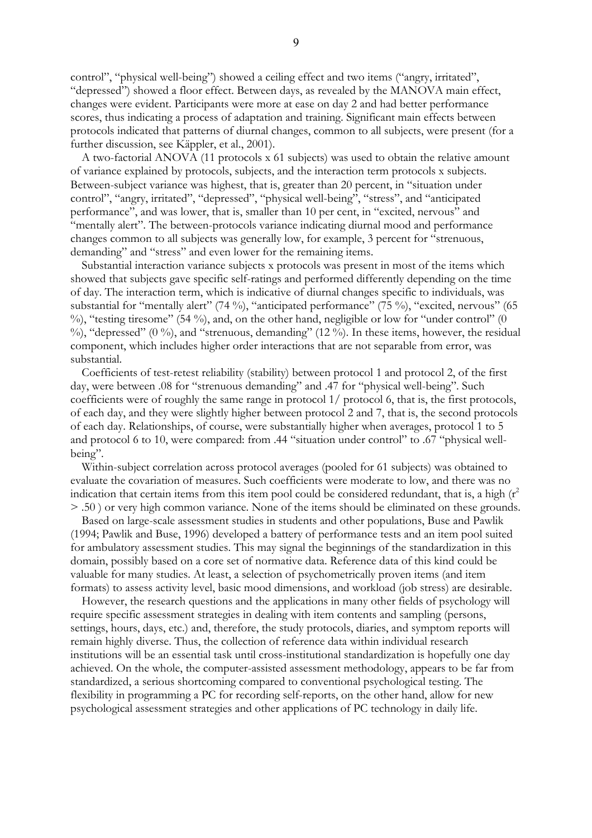control", "physical well-being") showed a ceiling effect and two items ("angry, irritated", "depressed") showed a floor effect. Between days, as revealed by the MANOVA main effect, changes were evident. Participants were more at ease on day 2 and had better performance scores, thus indicating a process of adaptation and training. Significant main effects between protocols indicated that patterns of diurnal changes, common to all subjects, were present (for a further discussion, see Käppler, et al., 2001).

A two-factorial ANOVA (11 protocols x 61 subjects) was used to obtain the relative amount of variance explained by protocols, subjects, and the interaction term protocols x subjects. Between-subject variance was highest, that is, greater than 20 percent, in "situation under control", "angry, irritated", "depressed", "physical well-being", "stress", and "anticipated performance", and was lower, that is, smaller than 10 per cent, in "excited, nervous" and "mentally alert". The between-protocols variance indicating diurnal mood and performance changes common to all subjects was generally low, for example, 3 percent for "strenuous, demanding" and "stress" and even lower for the remaining items.

Substantial interaction variance subjects x protocols was present in most of the items which showed that subjects gave specific self-ratings and performed differently depending on the time of day. The interaction term, which is indicative of diurnal changes specific to individuals, was substantial for "mentally alert" (74 %), "anticipated performance" (75 %), "excited, nervous" (65  $\%$ ), "testing tiresome" (54 %), and, on the other hand, negligible or low for "under control" (0 %), "depressed" (0 %), and "strenuous, demanding" (12 %). In these items, however, the residual component, which includes higher order interactions that are not separable from error, was substantial.

Coefficients of test-retest reliability (stability) between protocol 1 and protocol 2, of the first day, were between .08 for "strenuous demanding" and .47 for "physical well-being". Such coefficients were of roughly the same range in protocol 1/ protocol 6, that is, the first protocols, of each day, and they were slightly higher between protocol 2 and 7, that is, the second protocols of each day. Relationships, of course, were substantially higher when averages, protocol 1 to 5 and protocol 6 to 10, were compared: from .44 "situation under control" to .67 "physical wellbeing".

Within-subject correlation across protocol averages (pooled for 61 subjects) was obtained to evaluate the covariation of measures. Such coefficients were moderate to low, and there was no indication that certain items from this item pool could be considered redundant, that is, a high  $(r^2)$ > .50 ) or very high common variance. None of the items should be eliminated on these grounds.

Based on large-scale assessment studies in students and other populations, Buse and Pawlik (1994; Pawlik and Buse, 1996) developed a battery of performance tests and an item pool suited for ambulatory assessment studies. This may signal the beginnings of the standardization in this domain, possibly based on a core set of normative data. Reference data of this kind could be valuable for many studies. At least, a selection of psychometrically proven items (and item formats) to assess activity level, basic mood dimensions, and workload (job stress) are desirable.

However, the research questions and the applications in many other fields of psychology will require specific assessment strategies in dealing with item contents and sampling (persons, settings, hours, days, etc.) and, therefore, the study protocols, diaries, and symptom reports will remain highly diverse. Thus, the collection of reference data within individual research institutions will be an essential task until cross-institutional standardization is hopefully one day achieved. On the whole, the computer-assisted assessment methodology, appears to be far from standardized, a serious shortcoming compared to conventional psychological testing. The flexibility in programming a PC for recording self-reports, on the other hand, allow for new psychological assessment strategies and other applications of PC technology in daily life.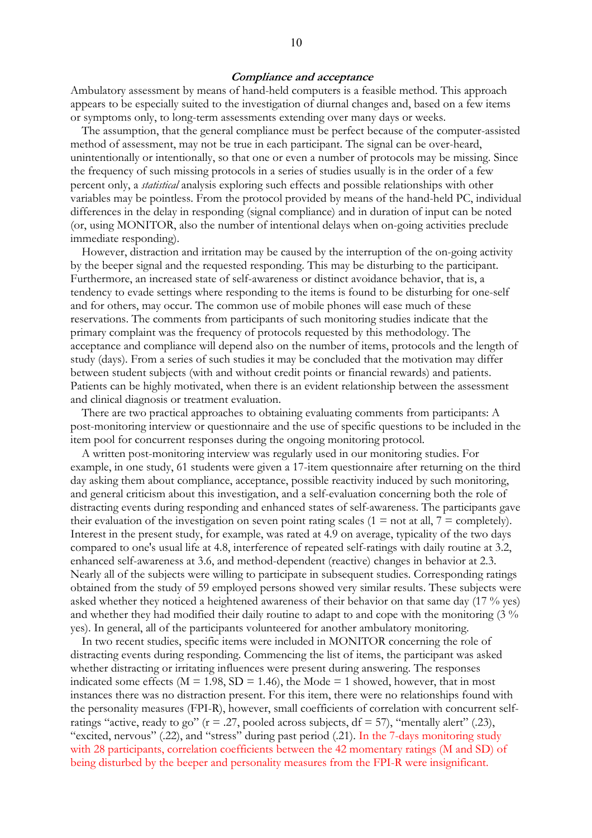Ambulatory assessment by means of hand-held computers is a feasible method. This approach appears to be especially suited to the investigation of diurnal changes and, based on a few items or symptoms only, to long-term assessments extending over many days or weeks.

The assumption, that the general compliance must be perfect because of the computer-assisted method of assessment, may not be true in each participant. The signal can be over-heard, unintentionally or intentionally, so that one or even a number of protocols may be missing. Since the frequency of such missing protocols in a series of studies usually is in the order of a few percent only, a *statistical* analysis exploring such effects and possible relationships with other variables may be pointless. From the protocol provided by means of the hand-held PC, individual differences in the delay in responding (signal compliance) and in duration of input can be noted (or, using MONITOR, also the number of intentional delays when on-going activities preclude immediate responding).

However, distraction and irritation may be caused by the interruption of the on-going activity by the beeper signal and the requested responding. This may be disturbing to the participant. Furthermore, an increased state of self-awareness or distinct avoidance behavior, that is, a tendency to evade settings where responding to the items is found to be disturbing for one-self and for others, may occur. The common use of mobile phones will ease much of these reservations. The comments from participants of such monitoring studies indicate that the primary complaint was the frequency of protocols requested by this methodology. The acceptance and compliance will depend also on the number of items, protocols and the length of study (days). From a series of such studies it may be concluded that the motivation may differ between student subjects (with and without credit points or financial rewards) and patients. Patients can be highly motivated, when there is an evident relationship between the assessment and clinical diagnosis or treatment evaluation.

There are two practical approaches to obtaining evaluating comments from participants: A post-monitoring interview or questionnaire and the use of specific questions to be included in the item pool for concurrent responses during the ongoing monitoring protocol.

A written post-monitoring interview was regularly used in our monitoring studies. For example, in one study, 61 students were given a 17-item questionnaire after returning on the third day asking them about compliance, acceptance, possible reactivity induced by such monitoring, and general criticism about this investigation, and a self-evaluation concerning both the role of distracting events during responding and enhanced states of self-awareness. The participants gave their evaluation of the investigation on seven point rating scales (1 = not at all, 7 = completely). Interest in the present study, for example, was rated at 4.9 on average, typicality of the two days compared to one's usual life at 4.8, interference of repeated self-ratings with daily routine at 3.2, enhanced self-awareness at 3.6, and method-dependent (reactive) changes in behavior at 2.3. Nearly all of the subjects were willing to participate in subsequent studies. Corresponding ratings obtained from the study of 59 employed persons showed very similar results. These subjects were asked whether they noticed a heightened awareness of their behavior on that same day (17 % yes) and whether they had modified their daily routine to adapt to and cope with the monitoring (3 % yes). In general, all of the participants volunteered for another ambulatory monitoring.

In two recent studies, specific items were included in MONITOR concerning the role of distracting events during responding. Commencing the list of items, the participant was asked whether distracting or irritating influences were present during answering. The responses indicated some effects ( $M = 1.98$ ,  $SD = 1.46$ ), the Mode = 1 showed, however, that in most instances there was no distraction present. For this item, there were no relationships found with the personality measures (FPI-R), however, small coefficients of correlation with concurrent selfratings "active, ready to go" ( $r = .27$ , pooled across subjects,  $df = 57$ ), "mentally alert" (.23), "excited, nervous" (.22), and "stress" during past period (.21). In the 7-days monitoring study with 28 participants, correlation coefficients between the 42 momentary ratings (M and SD) of being disturbed by the beeper and personality measures from the FPI-R were insignificant.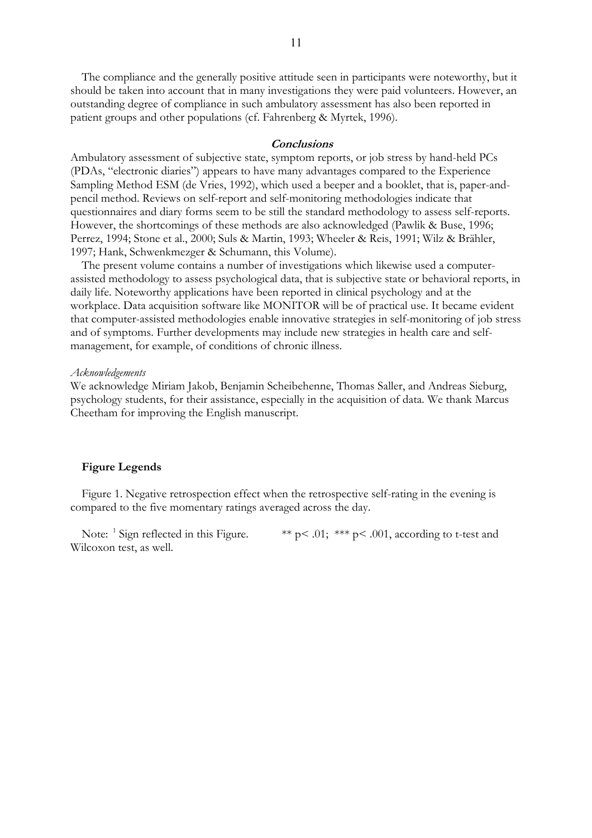The compliance and the generally positive attitude seen in participants were noteworthy, but it should be taken into account that in many investigations they were paid volunteers. However, an outstanding degree of compliance in such ambulatory assessment has also been reported in patient groups and other populations (cf. Fahrenberg & Myrtek, 1996).

## **Conclusions**

Ambulatory assessment of subjective state, symptom reports, or job stress by hand-held PCs (PDAs, "electronic diaries") appears to have many advantages compared to the Experience Sampling Method ESM (de Vries, 1992), which used a beeper and a booklet, that is, paper-andpencil method. Reviews on self-report and self-monitoring methodologies indicate that questionnaires and diary forms seem to be still the standard methodology to assess self-reports. However, the shortcomings of these methods are also acknowledged (Pawlik & Buse, 1996; Perrez, 1994; Stone et al., 2000; Suls & Martin, 1993; Wheeler & Reis, 1991; Wilz & Brähler, 1997; Hank, Schwenkmezger & Schumann, this Volume).

The present volume contains a number of investigations which likewise used a computerassisted methodology to assess psychological data, that is subjective state or behavioral reports, in daily life. Noteworthy applications have been reported in clinical psychology and at the workplace. Data acquisition software like MONITOR will be of practical use. It became evident that computer-assisted methodologies enable innovative strategies in self-monitoring of job stress and of symptoms. Further developments may include new strategies in health care and selfmanagement, for example, of conditions of chronic illness.

#### *Acknowledgements*

We acknowledge Miriam Jakob, Benjamin Scheibehenne, Thomas Saller, and Andreas Sieburg, psychology students, for their assistance, especially in the acquisition of data. We thank Marcus Cheetham for improving the English manuscript.

## **Figure Legends**

Figure 1. Negative retrospection effect when the retrospective self-rating in the evening is compared to the five momentary ratings averaged across the day.

Note:  $\frac{1}{2}$  Sign reflected in this Figure. \*\* p< .01; \*\* p < .001, according to t-test and Wilcoxon test, as well.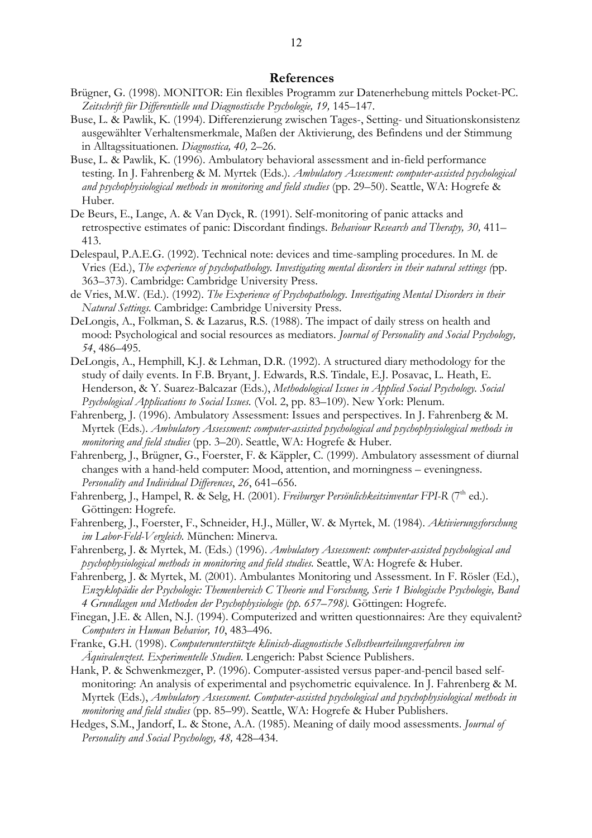## **References**

- Brügner, G. (1998). MONITOR: Ein flexibles Programm zur Datenerhebung mittels Pocket-PC. *Zeitschrift für Differentielle und Diagnostische Psychologie, 19,* 145–147.
- Buse, L. & Pawlik, K. (1994). Differenzierung zwischen Tages-, Setting- und Situationskonsistenz ausgewählter Verhaltensmerkmale, Maßen der Aktivierung, des Befindens und der Stimmung in Alltagssituationen. *Diagnostica, 40,* 2–26.
- Buse, L. & Pawlik, K. (1996). Ambulatory behavioral assessment and in-field performance testing. In J. Fahrenberg & M. Myrtek (Eds.). *Ambulatory Assessment: computer-assisted psychological and psychophysiological methods in monitoring and field studies* (pp. 29–50). Seattle, WA: Hogrefe & Huber.
- De Beurs, E., Lange, A. & Van Dyck, R. (1991). Self-monitoring of panic attacks and retrospective estimates of panic: Discordant findings. *Behaviour Research and Therapy, 30,* 411– 413.
- Delespaul, P.A.E.G. (1992). Technical note: devices and time-sampling procedures. In M. de Vries (Ed.), *The experience of psychopathology. Investigating mental disorders in their natural settings (*pp. 363–373). Cambridge: Cambridge University Press.
- de Vries, M.W. (Ed.). (1992). *The Experience of Psychopathology. Investigating Mental Disorders in their Natural Settings.* Cambridge: Cambridge University Press.
- DeLongis, A., Folkman, S. & Lazarus, R.S. (1988). The impact of daily stress on health and mood: Psychological and social resources as mediators. *Journal of Personality and Social Psychology, 54*, 486–495.
- DeLongis, A., Hemphill, K.J. & Lehman, D.R. (1992). A structured diary methodology for the study of daily events. In F.B. Bryant, J. Edwards, R.S. Tindale, E.J. Posavac, L. Heath, E. Henderson, & Y. Suarez-Balcazar (Eds.), *Methodological Issues in Applied Social Psychology. Social Psychological Applications to Social Issues*. (Vol. 2, pp. 83–109). New York: Plenum.
- Fahrenberg, J. (1996). Ambulatory Assessment: Issues and perspectives. In J. Fahrenberg & M. Myrtek (Eds.). *Ambulatory Assessment: computer-assisted psychological and psychophysiological methods in monitoring and field studies* (pp. 3–20). Seattle, WA: Hogrefe & Huber.
- Fahrenberg, J., Brügner, G., Foerster, F. & Käppler, C. (1999). Ambulatory assessment of diurnal changes with a hand-held computer: Mood, attention, and morningness – eveningness. *Personality and Individual Differences*, *26*, 641–656.
- Fahrenberg, J., Hampel, R. & Selg, H. (2001). *Freiburger Persönlichkeitsinventar FPI-R* (7<sup>th</sup> ed.). Göttingen: Hogrefe.
- Fahrenberg, J., Foerster, F., Schneider, H.J., Müller, W. & Myrtek, M. (1984). *Aktivierungsforschung im Labor-Feld-Vergleich.* München: Minerva.
- Fahrenberg, J. & Myrtek, M. (Eds.) (1996). *Ambulatory Assessment: computer-assisted psychological and psychophysiological methods in monitoring and field studies.* Seattle, WA: Hogrefe & Huber.
- Fahrenberg, J. & Myrtek, M. (2001). Ambulantes Monitoring und Assessment. In F. Rösler (Ed.), *Enzyklopädie der Psychologie: Themenbereich C Theorie und Forschung, Serie 1 Biologische Psychologie, Band 4 Grundlagen und Methoden der Psychophysiologie (pp. 657*–*798).* Göttingen: Hogrefe.
- Finegan, J.E. & Allen, N.J. (1994). Computerized and written questionnaires: Are they equivalent? *Computers in Human Behavior, 10*, 483–496.
- Franke, G.H. (1998). *Computerunterstützte klinisch-diagnostische Selbstbeurteilungsverfahren im Äquivalenztest. Experimentelle Studien*. Lengerich: Pabst Science Publishers.
- Hank, P. & Schwenkmezger, P. (1996). Computer-assisted versus paper-and-pencil based selfmonitoring: An analysis of experimental and psychometric equivalence. In J. Fahrenberg & M. Myrtek (Eds.), *Ambulatory Assessment. Computer-assisted psychological and psychophysiological methods in monitoring and field studies* (pp. 85–99). Seattle, WA: Hogrefe & Huber Publishers.
- Hedges, S.M., Jandorf, L. & Stone, A.A. (1985). Meaning of daily mood assessments. *Journal of Personality and Social Psychology, 48,* 428–434.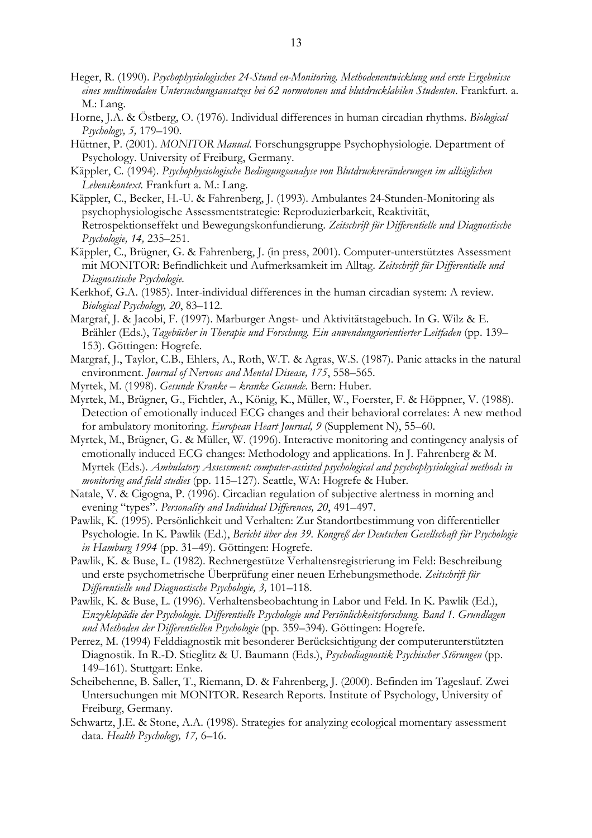- Heger, R. (1990). *Psychophysiologisches 24-Stund en-Monitoring. Methodenentwicklung und erste Ergebnisse eines multimodalen Untersuchungsansatzes bei 62 normotonen und blutdrucklabilen Studenten*. Frankfurt. a. M.: Lang.
- Horne, J.A. & Östberg, O. (1976). Individual differences in human circadian rhythms. *Biological Psychology, 5,* 179–190.
- Hüttner, P. (2001). *MONITOR Manual.* Forschungsgruppe Psychophysiologie. Department of Psychology. University of Freiburg, Germany.
- Käppler, C. (1994). *Psychophysiologische Bedingungsanalyse von Blutdruckveränderungen im alltäglichen Lebenskontext.* Frankfurt a. M.: Lang.
- Käppler, C., Becker, H.-U. & Fahrenberg, J. (1993). Ambulantes 24-Stunden-Monitoring als psychophysiologische Assessmentstrategie: Reproduzierbarkeit, Reaktivität, Retrospektionseffekt und Bewegungskonfundierung. *Zeitschrift für Differentielle und Diagnostische Psychologie, 14,* 235–251.
- Käppler, C., Brügner, G. & Fahrenberg, J. (in press, 2001). Computer-unterstütztes Assessment mit MONITOR: Befindlichkeit und Aufmerksamkeit im Alltag. *Zeitschrift für Differentielle und Diagnostische Psychologie.*
- Kerkhof, G.A. (1985). Inter-individual differences in the human circadian system: A review. *Biological Psychology, 20*, 83–112.
- Margraf, J. & Jacobi, F. (1997). Marburger Angst- und Aktivitätstagebuch. In G. Wilz & E. Brähler (Eds.), *Tagebücher in Therapie und Forschung. Ein anwendungsorientierter Leitfaden* (pp. 139– 153). Göttingen: Hogrefe.
- Margraf, J., Taylor, C.B., Ehlers, A., Roth, W.T. & Agras, W.S. (1987). Panic attacks in the natural environment. *Journal of Nervous and Mental Disease, 175*, 558–565.
- Myrtek, M. (1998). *Gesunde Kranke kranke Gesunde.* Bern: Huber.
- Myrtek, M., Brügner, G., Fichtler, A., König, K., Müller, W., Foerster, F. & Höppner, V. (1988). Detection of emotionally induced ECG changes and their behavioral correlates: A new method for ambulatory monitoring. *European Heart Journal, 9* (Supplement N), 55–60.
- Myrtek, M., Brügner, G. & Müller, W. (1996). Interactive monitoring and contingency analysis of emotionally induced ECG changes: Methodology and applications. In J. Fahrenberg & M. Myrtek (Eds.). *Ambulatory Assessment: computer-assisted psychological and psychophysiological methods in monitoring and field studies* (pp. 115–127). Seattle, WA: Hogrefe & Huber.
- Natale, V. & Cigogna, P. (1996). Circadian regulation of subjective alertness in morning and evening "types". *Personality and Individual Differences, 20*, 491–497.
- Pawlik, K. (1995). Persönlichkeit und Verhalten: Zur Standortbestimmung von differentieller Psychologie. In K. Pawlik (Ed.), *Bericht über den 39. Kongreß der Deutschen Gesellschaft für Psychologie in Hamburg 1994* (pp. 31–49). Göttingen: Hogrefe.
- Pawlik, K. & Buse, L. (1982). Rechnergestütze Verhaltensregistrierung im Feld: Beschreibung und erste psychometrische Überprüfung einer neuen Erhebungsmethode. *Zeitschrift für Differentielle und Diagnostische Psychologie, 3,* 101–118.
- Pawlik, K. & Buse, L. (1996). Verhaltensbeobachtung in Labor und Feld. In K. Pawlik (Ed.), *Enzyklopädie der Psychologie. Differentielle Psychologie und Persönlichkeitsforschung. Band 1. Grundlagen und Methoden der Differentiellen Psychologie* (pp. 359–394). Göttingen: Hogrefe.
- Perrez, M. (1994) Felddiagnostik mit besonderer Berücksichtigung der computerunterstützten Diagnostik. In R.-D. Stieglitz & U. Baumann (Eds.), *Psychodiagnostik Psychischer Störungen* (pp. 149–161). Stuttgart: Enke.
- Scheibehenne, B. Saller, T., Riemann, D. & Fahrenberg, J. (2000). Befinden im Tageslauf. Zwei Untersuchungen mit MONITOR. Research Reports. Institute of Psychology, University of Freiburg, Germany.
- Schwartz, J.E. & Stone, A.A. (1998). Strategies for analyzing ecological momentary assessment data. *Health Psychology, 17,* 6–16.